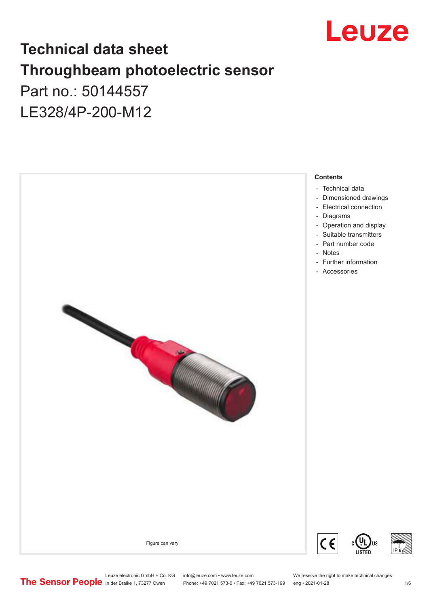

## **Technical data sheet Throughbeam photoelectric sensor**  Part no.: 50144557

LE328/4P-200-M12



Leuze electronic GmbH + Co. KG info@leuze.com • www.leuze.com We reserve the right to make technical changes<br>
The Sensor People in der Braike 1, 73277 Owen Phone: +49 7021 573-0 • Fax: +49 7021 573-199 eng • 2021-01-28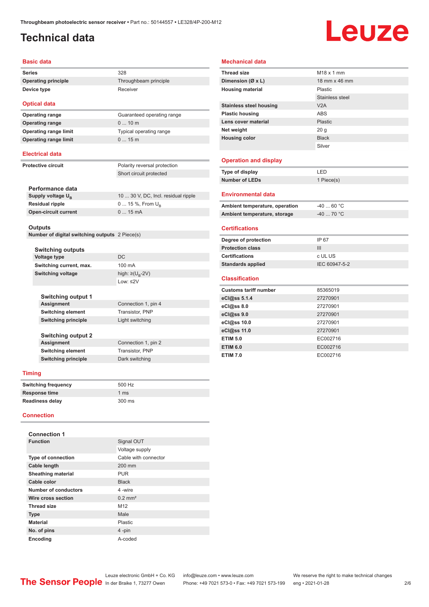## <span id="page-1-0"></span>**Technical data**

# Leuze

#### **Basic data**

**Series** 328 **Operating principle** Throughbeam principle **Device type** Receiver

**Optical data Operating range** 0 ... 10 m

**Operating range** Guaranteed operating range **Operating range limit** Typical operating range **Operating range limit** 0 ... 15 m

#### **Electrical data**

**Protective circuit** Polarity reversal protection

Short circuit protected

| Performance data              |                                     |
|-------------------------------|-------------------------------------|
| Supply voltage U <sub>n</sub> | 10  30 V, DC, Incl. residual ripple |
| <b>Residual ripple</b>        | 0  15 %, From $U_{\rm B}$           |
| <b>Open-circuit current</b>   | $015$ mA                            |
|                               |                                     |

#### **Outputs**

**Number of digital switching outputs** 2 Piece(s)

|                   | <b>Switching outputs</b>   |                               |
|-------------------|----------------------------|-------------------------------|
|                   | <b>Voltage type</b>        | DC.                           |
|                   | Switching current, max.    | 100 mA                        |
| Switching voltage |                            | high: $\geq (U_{\rm B} - 2V)$ |
|                   |                            | $1$ nw: $\leq$ 2V             |
|                   |                            |                               |
|                   | <b>Switching output 1</b>  |                               |
|                   | <b>Assignment</b>          | Connection 1, pin 4           |
|                   | <b>Switching element</b>   | Transistor, PNP               |
|                   | <b>Switching principle</b> | Light switching               |
|                   |                            |                               |
|                   | <b>Switching output 2</b>  |                               |
|                   | Assignment                 | Connection 1, pin 2           |
|                   | <b>Switching element</b>   | Transistor, PNP               |
|                   | <b>Switching principle</b> | Dark switching                |
|                   |                            |                               |

#### **Timing**

| <b>Switching frequency</b> | 500 Hz         |
|----------------------------|----------------|
| Response time              | $1 \text{ ms}$ |
| Readiness delay            | 300 ms         |

#### **Connection**

| <b>Connection 1</b>       |                       |  |
|---------------------------|-----------------------|--|
| <b>Function</b>           | Signal OUT            |  |
|                           | Voltage supply        |  |
| <b>Type of connection</b> | Cable with connector  |  |
| Cable length              | $200$ mm              |  |
| <b>Sheathing material</b> | <b>PUR</b>            |  |
| Cable color               | <b>Black</b>          |  |
| Number of conductors      | 4-wire                |  |
| Wire cross section        | $0.2$ mm <sup>2</sup> |  |
| <b>Thread size</b>        | M <sub>12</sub>       |  |
| <b>Type</b>               | Male                  |  |
| <b>Material</b>           | Plastic               |  |
| No. of pins               | 4-pin                 |  |
| <b>Encoding</b>           | A-coded               |  |

#### **Mechanical data**

| <b>Thread size</b>             | $M18 \times 1$ mm |
|--------------------------------|-------------------|
| Dimension (Ø x L)              | 18 mm x 46 mm     |
| <b>Housing material</b>        | <b>Plastic</b>    |
|                                | Stainless steel   |
| <b>Stainless steel housing</b> | V2A               |
| <b>Plastic housing</b>         | <b>ABS</b>        |
| Lens cover material            | <b>Plastic</b>    |
| Net weight                     | 20 <sub>g</sub>   |
| <b>Housing color</b>           | <b>Black</b>      |
|                                | Silver            |
|                                |                   |
| <b>Operation and display</b>   |                   |
| Type of display                | LED               |
| <b>Number of LEDs</b>          | 1 Piece(s)        |
|                                |                   |
| <b>Environmental data</b>      |                   |
| Ambient temperature, operation | $-4060 °C$        |
| Ambient temperature, storage   | $-40$ 70 °C       |
|                                |                   |
| <b>Certifications</b>          |                   |
| Degree of protection           | IP 67             |
| <b>Protection class</b>        | III               |
| <b>Certifications</b>          | c UL US           |
| <b>Standards applied</b>       | IEC 60947-5-2     |
|                                |                   |
| <b>Classification</b>          |                   |
| <b>Customs tariff number</b>   | 85365019          |
| eCl@ss 5.1.4                   | 27270901          |
| eCl@ss 8.0                     | 27270901          |
| eCl@ss 9.0                     | 27270901          |
| eCl@ss 10.0                    | 27270901          |
| eCl@ss 11.0                    | 27270901          |
| <b>ETIM 5.0</b>                | EC002716          |
| <b>ETIM 6.0</b>                | EC002716          |
| <b>ETIM 7.0</b>                | EC002716          |
|                                |                   |

Leuze electronic GmbH + Co. KG info@leuze.com • www.leuze.com We reserve the right to make technical changes<br>
The Sensor People in der Braike 1, 73277 Owen Phone: +49 7021 573-0 • Fax: +49 7021 573-199 eng • 2021-01-28 Phone: +49 7021 573-0 • Fax: +49 7021 573-199 eng • 2021-01-28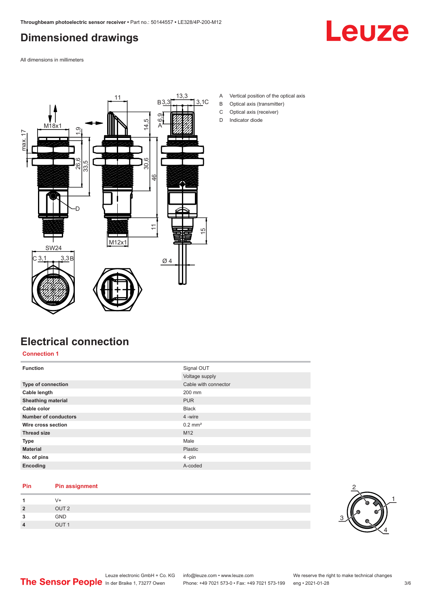## <span id="page-2-0"></span>**Dimensioned drawings**



All dimensions in millimeters



- A Vertical position of the optical axis
- B Optical axis (transmitter)
- C Optical axis (receiver)
- D Indicator diode

#### **Electrical connection**

**Connection 1**

| <b>Function</b>             | Signal OUT            |
|-----------------------------|-----------------------|
|                             | Voltage supply        |
| Type of connection          | Cable with connector  |
| Cable length                | 200 mm                |
| <b>Sheathing material</b>   | <b>PUR</b>            |
| Cable color                 | <b>Black</b>          |
| <b>Number of conductors</b> | 4 -wire               |
| Wire cross section          | $0.2$ mm <sup>2</sup> |
| <b>Thread size</b>          | M <sub>12</sub>       |
| <b>Type</b>                 | Male                  |
| <b>Material</b>             | Plastic               |
| No. of pins                 | 4-pin                 |
| Encoding                    | A-coded               |

#### **Pin Pin assignment**

|         | V+               |  |  |
|---------|------------------|--|--|
| 2       | OUT <sub>2</sub> |  |  |
| ໍາ<br>w | GND              |  |  |
| л       | OUT <sub>1</sub> |  |  |

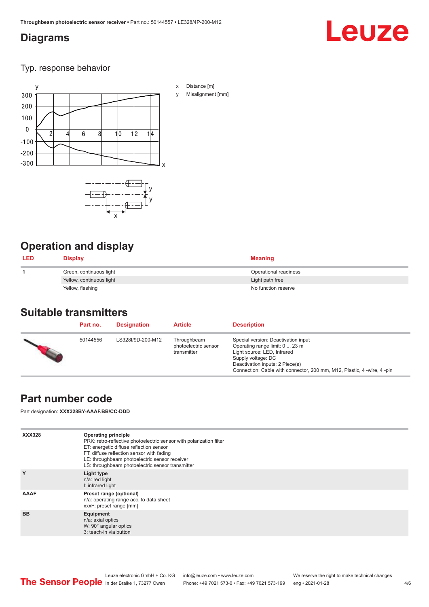#### <span id="page-3-0"></span>**Diagrams**

## Leuze

Typ. response behavior



## **Operation and display**

| <b>LED</b> | <b>Display</b>           | <b>Meaning</b>        |
|------------|--------------------------|-----------------------|
|            | Green, continuous light  | Operational readiness |
|            | Yellow, continuous light | Light path free       |
|            | Yellow, flashing         | No function reserve   |

#### **Suitable transmitters**

| Part no. | <b>Designation</b> | <b>Article</b>                                     | <b>Description</b>                                                                                                                                                                                                                       |
|----------|--------------------|----------------------------------------------------|------------------------------------------------------------------------------------------------------------------------------------------------------------------------------------------------------------------------------------------|
| 50144556 | LS328I/9D-200-M12  | Throughbeam<br>photoelectric sensor<br>transmitter | Special version: Deactivation input<br>Operating range limit: 0  23 m<br>Light source: LED, Infrared<br>Supply voltage: DC<br>Deactivation inputs: 2 Piece(s)<br>Connection: Cable with connector, 200 mm, M12, Plastic, 4 -wire, 4 -pin |

## **Part number code**

Part designation: **XXX328BY-AAAF.BB/CC-DDD**

| <b>XXX328</b> | Operating principle<br>PRK: retro-reflective photoelectric sensor with polarization filter<br>ET: energetic diffuse reflection sensor<br>FT: diffuse reflection sensor with fading<br>LE: throughbeam photoelectric sensor receiver<br>LS: throughbeam photoelectric sensor transmitter |
|---------------|-----------------------------------------------------------------------------------------------------------------------------------------------------------------------------------------------------------------------------------------------------------------------------------------|
| Y             | Light type<br>n/a: red light<br>I: infrared light                                                                                                                                                                                                                                       |
| AAAF          | Preset range (optional)<br>n/a: operating range acc. to data sheet<br>xxxF: preset range [mm]                                                                                                                                                                                           |
| <b>BB</b>     | Equipment<br>n/a: axial optics<br>W: 90° angular optics<br>3: teach-in via button                                                                                                                                                                                                       |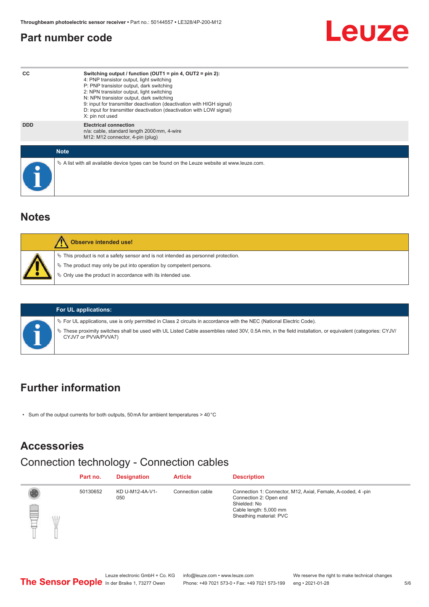#### <span id="page-4-0"></span>**Part number code**



#### **Notes**

| $\%$ This product is not a safety sensor and is not intended as personnel protection.<br>₹ The product may only be put into operation by competent persons.<br>♦ Only use the product in accordance with its intended use. |
|----------------------------------------------------------------------------------------------------------------------------------------------------------------------------------------------------------------------------|

#### **For UL applications:**

ª For UL applications, use is only permitted in Class 2 circuits in accordance with the NEC (National Electric Code).

ª These proximity switches shall be used with UL Listed Cable assemblies rated 30V, 0.5A min, in the field installation, or equivalent (categories: CYJV/ CYJV7 or PVVA/PVVA7)

#### **Further information**

• Sum of the output currents for both outputs, 50 mA for ambient temperatures > 40 °C

#### **Accessories**

#### Connection technology - Connection cables

|   | Part no. | <b>Designation</b>     | <b>Article</b>   | <b>Description</b>                                                                                                                                         |
|---|----------|------------------------|------------------|------------------------------------------------------------------------------------------------------------------------------------------------------------|
| P | 50130652 | KD U-M12-4A-V1-<br>050 | Connection cable | Connection 1: Connector, M12, Axial, Female, A-coded, 4-pin<br>Connection 2: Open end<br>Shielded: No<br>Cable length: 5,000 mm<br>Sheathing material: PVC |

Leuze